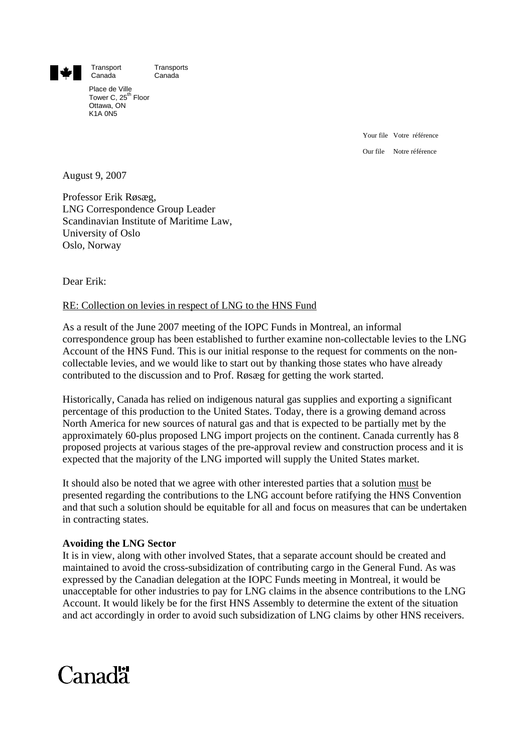

Transport Transports<br>Canada Canada

Place de Ville Tower C, 25<sup>th</sup> Floor Ottawa, ON K1A 0N5

Canada

Your file Votre référence Our file Notre référence

August 9, 2007

Professor Erik Røsæg, LNG Correspondence Group Leader Scandinavian Institute of Maritime Law, University of Oslo Oslo, Norway

Dear Erik:

## RE: Collection on levies in respect of LNG to the HNS Fund

As a result of the June 2007 meeting of the IOPC Funds in Montreal, an informal correspondence group has been established to further examine non-collectable levies to the LNG Account of the HNS Fund. This is our initial response to the request for comments on the noncollectable levies, and we would like to start out by thanking those states who have already contributed to the discussion and to Prof. Røsæg for getting the work started.

Historically, Canada has relied on indigenous natural gas supplies and exporting a significant percentage of this production to the United States. Today, there is a growing demand across North America for new sources of natural gas and that is expected to be partially met by the approximately 60-plus proposed LNG import projects on the continent. Canada currently has 8 proposed projects at various stages of the pre-approval review and construction process and it is expected that the majority of the LNG imported will supply the United States market.

It should also be noted that we agree with other interested parties that a solution must be presented regarding the contributions to the LNG account before ratifying the HNS Convention and that such a solution should be equitable for all and focus on measures that can be undertaken in contracting states.

## **Avoiding the LNG Sector**

It is in view, along with other involved States, that a separate account should be created and maintained to avoid the cross-subsidization of contributing cargo in the General Fund. As was expressed by the Canadian delegation at the IOPC Funds meeting in Montreal, it would be unacceptable for other industries to pay for LNG claims in the absence contributions to the LNG Account. It would likely be for the first HNS Assembly to determine the extent of the situation and act accordingly in order to avoid such subsidization of LNG claims by other HNS receivers.

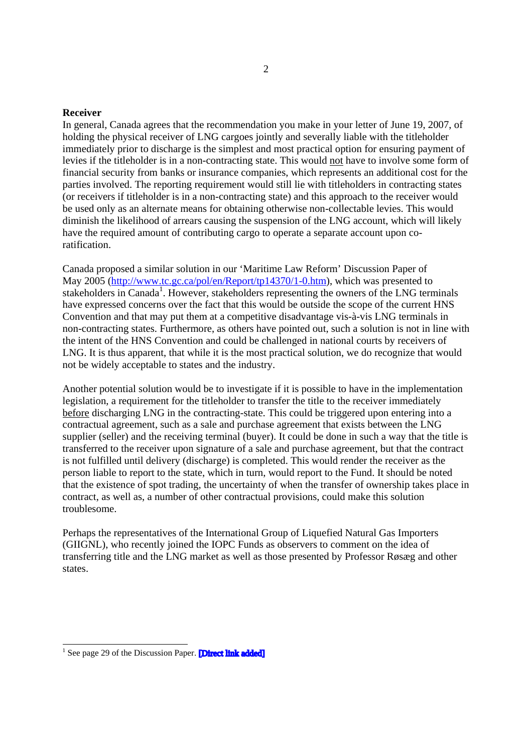## **Receiver**

In general, Canada agrees that the recommendation you make in your letter of June 19, 2007, of holding the physical receiver of LNG cargoes jointly and severally liable with the titleholder immediately prior to discharge is the simplest and most practical option for ensuring payment of levies if the titleholder is in a non-contracting state. This would not have to involve some form of financial security from banks or insurance companies, which represents an additional cost for the parties involved. The reporting requirement would still lie with titleholders in contracting states (or receivers if titleholder is in a non-contracting state) and this approach to the receiver would be used only as an alternate means for obtaining otherwise non-collectable levies. This would diminish the likelihood of arrears causing the suspension of the LNG account, which will likely have the required amount of contributing cargo to operate a separate account upon coratification.

Canada proposed a similar solution in our 'Maritime Law Reform' Discussion Paper of May 2005 [\(http://www.tc.gc.ca/pol/en/Report/tp14370/1-0.htm](http://www.tc.gc.ca/pol/en/Report/tp14370/1-0.htm)), which was presented to stakeholders in Canada<sup>1</sup>. However, stakeholders representing the owners of the LNG terminals have expressed concerns over the fact that this would be outside the scope of the current HNS Convention and that may put them at a competitive disadvantage vis-à-vis LNG terminals in non-contracting states. Furthermore, as others have pointed out, such a solution is not in line with the intent of the HNS Convention and could be challenged in national courts by receivers of LNG. It is thus apparent, that while it is the most practical solution, we do recognize that would not be widely acceptable to states and the industry.

Another potential solution would be to investigate if it is possible to have in the implementation legislation, a requirement for the titleholder to transfer the title to the receiver immediately before discharging LNG in the contracting-state. This could be triggered upon entering into a contractual agreement, such as a sale and purchase agreement that exists between the LNG supplier (seller) and the receiving terminal (buyer). It could be done in such a way that the title is transferred to the receiver upon signature of a sale and purchase agreement, but that the contract is not fulfilled until delivery (discharge) is completed. This would render the receiver as the person liable to report to the state, which in turn, would report to the Fund. It should be noted that the existence of spot trading, the uncertainty of when the transfer of ownership takes place in contract, as well as, a number of other contractual provisions, could make this solution troublesome.

Perhaps the representatives of the International Group of Liquefied Natural Gas Importers (GIIGNL), who recently joined the IOPC Funds as observers to comment on the idea of transferring title and the LNG market as well as those presented by Professor Røsæg and other states.

<sup>&</sup>lt;sup>1</sup> [See page 29 of the Discussion Paper.](http://folk.uio.no/erikro/WWW/HNS/IOPCcorrespondence/tp14370e.pdf) **Direct link added**